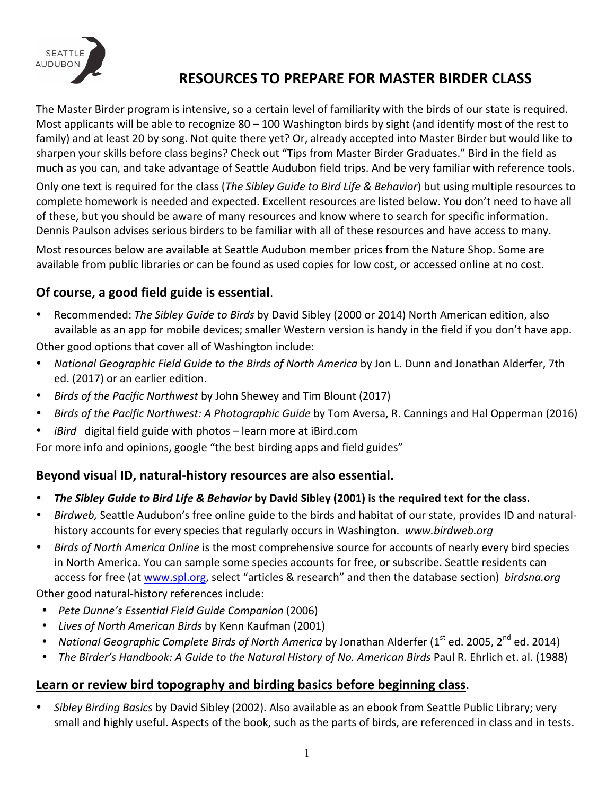

# **RESOURCES TO PREPARE FOR MASTER BIRDER CLASS**

The Master Birder program is intensive, so a certain level of familiarity with the birds of our state is required. Most applicants will be able to recognize  $80 - 100$  Washington birds by sight (and identify most of the rest to family) and at least 20 by song. Not quite there yet? Or, already accepted into Master Birder but would like to sharpen your skills before class begins? Check out "Tips from Master Birder Graduates." Bird in the field as much as you can, and take advantage of Seattle Audubon field trips. And be very familiar with reference tools.

Only one text is required for the class (*The Sibley Guide to Bird Life & Behavior*) but using multiple resources to complete homework is needed and expected. Excellent resources are listed below. You don't need to have all of these, but you should be aware of many resources and know where to search for specific information. Dennis Paulson advises serious birders to be familiar with all of these resources and have access to many.

Most resources below are available at Seattle Audubon member prices from the Nature Shop. Some are available from public libraries or can be found as used copies for low cost, or accessed online at no cost.

## **Of course, a good field guide is essential.**

• Recommended: *The Sibley Guide to Birds* by David Sibley (2000 or 2014) North American edition, also available as an app for mobile devices; smaller Western version is handy in the field if you don't have app.

Other good options that cover all of Washington include:

- *National Geographic Field Guide to the Birds of North America by Jon L. Dunn and Jonathan Alderfer, 7th* ed. (2017) or an earlier edition.
- *Birds of the Pacific Northwest by John Shewey and Tim Blount (2017)*
- *Birds of the Pacific Northwest: A Photographic Guide by Tom Aversa, R. Cannings and Hal Opperman (2016)*
- *iBird* digital field guide with photos learn more at iBird.com

For more info and opinions, google "the best birding apps and field guides"

#### **Beyond visual ID, natural-history resources are also essential.**

- *The Sibley Guide to Bird Life & Behavior* by David Sibley (2001) is the required text for the class.
- *Birdweb*, Seattle Audubon's free online guide to the birds and habitat of our state, provides ID and naturalhistory accounts for every species that regularly occurs in Washington. www.birdweb.org
- *Birds of North America Online* is the most comprehensive source for accounts of nearly every bird species in North America. You can sample some species accounts for free, or subscribe. Seattle residents can access for free (at www.spl.org, select "articles & research" and then the database section) *birdsna.org*

Other good natural-history references include:

- Pete Dunne's Essential Field Guide Companion (2006)
- *Lives of North American Birds* by Kenn Kaufman (2001)
- *National Geographic Complete Birds of North America* by Jonathan Alderfer (1<sup>st</sup> ed. 2005, 2<sup>nd</sup> ed. 2014)
- *The Birder's Handbook: A Guide to the Natural History of No. American Birds Paul R. Ehrlich et. al. (1988)*

#### Learn or review bird topography and birding basics before beginning class.

*Sibley Birding Basics* by David Sibley (2002). Also available as an ebook from Seattle Public Library; very small and highly useful. Aspects of the book, such as the parts of birds, are referenced in class and in tests.